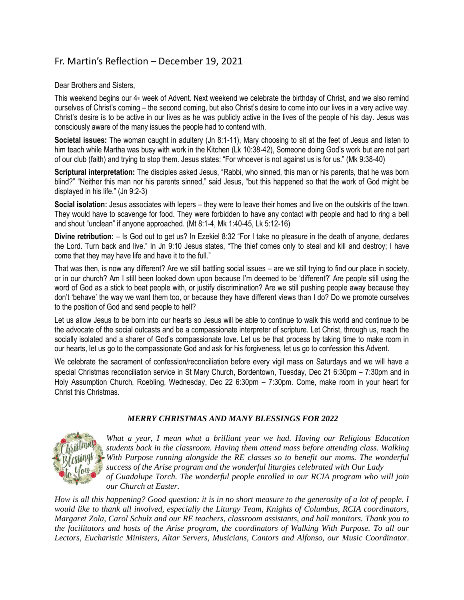## Fr. Martin's Reflection – December 19, 2021

Dear Brothers and Sisters,

This weekend begins our  $4<sub>th</sub>$  week of Advent. Next weekend we celebrate the birthday of Christ, and we also remind ourselves of Christ's coming – the second coming, but also Christ's desire to come into our lives in a very active way. Christ's desire is to be active in our lives as he was publicly active in the lives of the people of his day. Jesus was consciously aware of the many issues the people had to contend with.

**Societal issues:** The woman caught in adultery (Jn 8:1-11), Mary choosing to sit at the feet of Jesus and listen to him teach while Martha was busy with work in the Kitchen (Lk 10:38-42), Someone doing God's work but are not part of our club (faith) and trying to stop them. Jesus states: "For whoever is not against us is for us." (Mk 9:38-40)

**Scriptural interpretation:** The disciples asked Jesus, "Rabbi, who sinned, this man or his parents, that he was born blind?" "Neither this man nor his parents sinned," said Jesus, "but this happened so that the work of God might be displayed in his life." (Jn 9:2-3)

**Social isolation:** Jesus associates with lepers – they were to leave their homes and live on the outskirts of the town. They would have to scavenge for food. They were forbidden to have any contact with people and had to ring a bell and shout "unclean" if anyone approached. (Mt 8:1-4, Mk 1:40-45, Lk 5:12-16)

**Divine retribution:** – Is God out to get us? In Ezekiel 8:32 "For I take no pleasure in the death of anyone, declares the Lord. Turn back and live." In Jn 9:10 Jesus states, "The thief comes only to steal and kill and destroy; I have come that they may have life and have it to the full."

That was then, is now any different? Are we still battling social issues – are we still trying to find our place in society, or in our church? Am I still been looked down upon because I'm deemed to be 'different?' Are people still using the word of God as a stick to beat people with, or justify discrimination? Are we still pushing people away because they don't 'behave' the way we want them too, or because they have different views than I do? Do we promote ourselves to the position of God and send people to hell?

Let us allow Jesus to be born into our hearts so Jesus will be able to continue to walk this world and continue to be the advocate of the social outcasts and be a compassionate interpreter of scripture. Let Christ, through us, reach the socially isolated and a sharer of God's compassionate love. Let us be that process by taking time to make room in our hearts, let us go to the compassionate God and ask for his forgiveness, let us go to confession this Advent.

We celebrate the sacrament of confession/reconciliation before every vigil mass on Saturdays and we will have a special Christmas reconciliation service in St Mary Church, Bordentown, Tuesday, Dec 21 6:30pm – 7:30pm and in Holy Assumption Church, Roebling, Wednesday, Dec 22 6:30pm – 7:30pm. Come, make room in your heart for Christ this Christmas.

## *MERRY CHRISTMAS AND MANY BLESSINGS FOR 2022*



*What a year, I mean what a brilliant year we had. Having our Religious Education students back in the classroom. Having them attend mass before attending class. Walking With Purpose running alongside the RE classes so to benefit our moms. The wonderful success of the Arise program and the wonderful liturgies celebrated with Our Lady of Guadalupe Torch. The wonderful people enrolled in our RCIA program who will join our Church at Easter.*

*How is all this happening? Good question: it is in no short measure to the generosity of a lot of people. I would like to thank all involved, especially the Liturgy Team, Knights of Columbus, RCIA coordinators, Margaret Zola, Carol Schulz and our RE teachers, classroom assistants, and hall monitors. Thank you to the facilitators and hosts of the Arise program, the coordinators of Walking With Purpose. To all our Lectors, Eucharistic Ministers, Altar Servers, Musicians, Cantors and Alfonso, our Music Coordinator.*